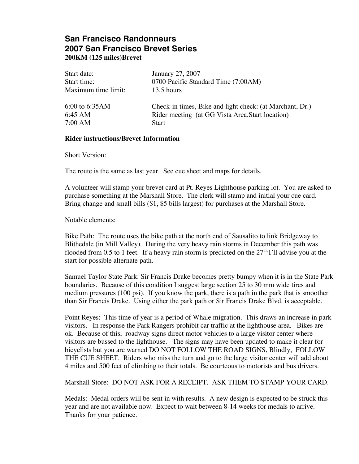# **San Francisco Randonneurs 2007 San Francisco Brevet Series 200KM (125 miles)Brevet**

| Start date:         | January 27, 2007                                         |
|---------------------|----------------------------------------------------------|
| Start time:         | 0700 Pacific Standard Time (7:00AM)                      |
| Maximum time limit: | 13.5 hours                                               |
| $6:00$ to $6:35AM$  | Check-in times, Bike and light check: (at Marchant, Dr.) |
| $6:45 \text{ AM}$   | Rider meeting (at GG Vista Area Start location)          |
| 7:00 AM             | <b>Start</b>                                             |

#### **Rider instructions/Brevet Information**

Short Version:

The route is the same as last year. See cue sheet and maps for details.

A volunteer will stamp your brevet card at Pt. Reyes Lighthouse parking lot. You are asked to purchase something at the Marshall Store. The clerk will stamp and initial your cue card. Bring change and small bills (\$1, \$5 bills largest) for purchases at the Marshall Store.

Notable elements:

Bike Path: The route uses the bike path at the north end of Sausalito to link Bridgeway to Blithedale (in Mill Valley). During the very heavy rain storms in December this path was flooded from 0.5 to 1 feet. If a heavy rain storm is predicted on the  $27<sup>th</sup>$  I'll advise you at the start for possible alternate path.

Samuel Taylor State Park: Sir Francis Drake becomes pretty bumpy when it is in the State Park boundaries. Because of this condition I suggest large section 25 to 30 mm wide tires and medium pressures (100 psi). If you know the park, there is a path in the park that is smoother than Sir Francis Drake. Using either the park path or Sir Francis Drake Blvd. is acceptable.

Point Reyes: This time of year is a period of Whale migration. This draws an increase in park visitors. In response the Park Rangers prohibit car traffic at the lighthouse area. Bikes are ok. Because of this, roadway signs direct motor vehicles to a large visitor center where visitors are bussed to the lighthouse. The signs may have been updated to make it clear for bicyclists but you are warned DO NOT FOLLOW THE ROAD SIGNS, Blindly, FOLLOW THE CUE SHEET. Riders who miss the turn and go to the large visitor center will add about 4 miles and 500 feet of climbing to their totals. Be courteous to motorists and bus drivers.

Marshall Store: DO NOT ASK FOR A RECEIPT. ASK THEM TO STAMP YOUR CARD.

Medals: Medal orders will be sent in with results. A new design is expected to be struck this year and are not available now. Expect to wait between 8-14 weeks for medals to arrive. Thanks for your patience.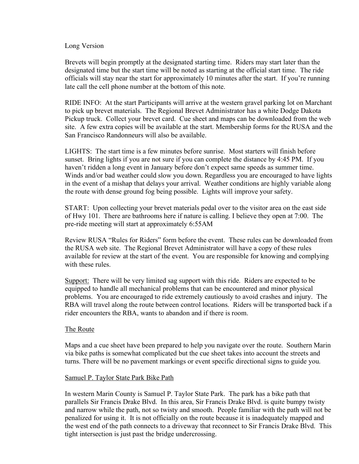#### Long Version

Brevets will begin promptly at the designated starting time. Riders may start later than the designated time but the start time will be noted as starting at the official start time. The ride officials will stay near the start for approximately 10 minutes after the start. If you're running late call the cell phone number at the bottom of this note.

RIDE INFO: At the start Participants will arrive at the western gravel parking lot on Marchant to pick up brevet materials. The Regional Brevet Administrator has a white Dodge Dakota Pickup truck. Collect your brevet card. Cue sheet and maps can be downloaded from the web site. A few extra copies will be available at the start. Membership forms for the RUSA and the San Francisco Randonneurs will also be available.

LIGHTS: The start time is a few minutes before sunrise. Most starters will finish before sunset. Bring lights if you are not sure if you can complete the distance by 4:45 PM. If you haven't ridden a long event in January before don't expect same speeds as summer time. Winds and/or bad weather could slow you down. Regardless you are encouraged to have lights in the event of a mishap that delays your arrival. Weather conditions are highly variable along the route with dense ground fog being possible. Lights will improve your safety.

START: Upon collecting your brevet materials pedal over to the visitor area on the east side of Hwy 101. There are bathrooms here if nature is calling. I believe they open at 7:00. The pre-ride meeting will start at approximately 6:55AM

Review RUSA "Rules for Riders" form before the event. These rules can be downloaded from the RUSA web site. The Regional Brevet Administrator will have a copy of these rules available for review at the start of the event. You are responsible for knowing and complying with these rules.

Support: There will be very limited sag support with this ride. Riders are expected to be equipped to handle all mechanical problems that can be encountered and minor physical problems. You are encouraged to ride extremely cautiously to avoid crashes and injury. The RBA will travel along the route between control locations. Riders will be transported back if a rider encounters the RBA, wants to abandon and if there is room.

#### The Route

Maps and a cue sheet have been prepared to help you navigate over the route. Southern Marin via bike paths is somewhat complicated but the cue sheet takes into account the streets and turns. There will be no pavement markings or event specific directional signs to guide you.

#### Samuel P. Taylor State Park Bike Path

In western Marin County is Samuel P. Taylor State Park. The park has a bike path that parallels Sir Francis Drake Blvd. In this area, Sir Francis Drake Blvd. is quite bumpy twisty and narrow while the path, not so twisty and smooth. People familiar with the path will not be penalized for using it. It is not officially on the route because it is inadequately mapped and the west end of the path connects to a driveway that reconnect to Sir Francis Drake Blvd. This tight intersection is just past the bridge undercrossing.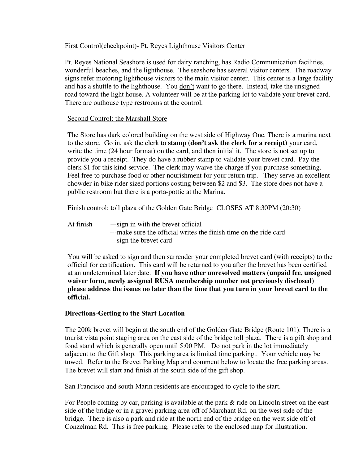## First Control(checkpoint)- Pt. Reyes Lighthouse Visitors Center

Pt. Reyes National Seashore is used for dairy ranching, has Radio Communication facilities, wonderful beaches, and the lighthouse. The seashore has several visitor centers. The roadway signs refer motoring lighthouse visitors to the main visitor center. This center is a large facility and has a shuttle to the lighthouse. You <u>don't</u> want to go there. Instead, take the unsigned road toward the light house. A volunteer will be at the parking lot to validate your brevet card. There are outhouse type restrooms at the control.

## Second Control: the Marshall Store

The Store has dark colored building on the west side of Highway One. There is a marina next to the store. Go in, ask the clerk to **stamp (don't ask the clerk for a receipt)** your card, write the time (24 hour format) on the card, and then initial it. The store is not set up to provide you a receipt. They do have a rubber stamp to validate your brevet card. Pay the clerk \$1 for this kind service. The clerk may waive the charge if you purchase something. Feel free to purchase food or other nourishment for your return trip. They serve an excellent chowder in bike rider sized portions costing between \$2 and \$3. The store does not have a public restroom but there is a porta-pottie at the Marina.

Finish control: toll plaza of the Golden Gate Bridge CLOSES AT 8:30PM (20:30)

At finish  $-\text{sign}$  in with the brevet official ---make sure the official writes the finish time on the ride card ---sign the brevet card

You will be asked to sign and then surrender your completed brevet card (with receipts) to the official for certification. This card will be returned to you after the brevet has been certified at an undetermined later date. **If you have other unresolved matters (unpaid fee, unsigned waiver form, newly assigned RUSA membership number not previously disclosed) please address the issues no later than the time that you turn in your brevet card to the official.**

# **Directions-Getting to the Start Location**

The 200k brevet will begin at the south end of the Golden Gate Bridge (Route 101). There is a tourist vista point staging area on the east side of the bridge toll plaza. There is a gift shop and food stand which is generally open until 5:00 PM. Do not park in the lot immediately adjacent to the Gift shop. This parking area is limited time parking.. Your vehicle may be towed. Refer to the Brevet Parking Map and comment below to locate the free parking areas. The brevet will start and finish at the south side of the gift shop.

San Francisco and south Marin residents are encouraged to cycle to the start.

For People coming by car, parking is available at the park & ride on Lincoln street on the east side of the bridge or in a gravel parking area off of Marchant Rd. on the west side of the bridge. There is also a park and ride at the north end of the bridge on the west side off of Conzelman Rd. This is free parking. Please refer to the enclosed map for illustration.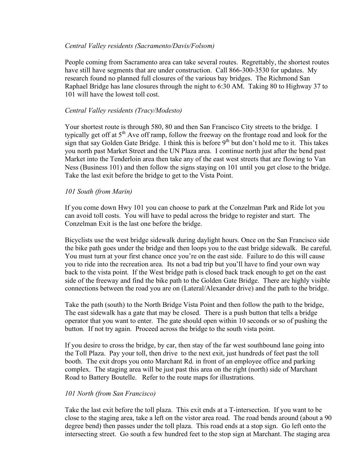## *Central Valley residents (Sacramento/Davis/Folsom)*

People coming from Sacramento area can take several routes. Regrettably, the shortest routes have still have segments that are under construction. Call 866-300-3530 for updates. My research found no planned full closures of the various bay bridges. The Richmond San Raphael Bridge has lane closures through the night to 6:30 AM. Taking 80 to Highway 37 to 101 will have the lowest toll cost.

## *Central Valley residents (Tracy/Modesto)*

Your shortest route is through 580, 80 and then San Francisco City streets to the bridge. I typically get off at  $5<sup>th</sup>$  Ave off ramp, follow the freeway on the frontage road and look for the sign that say Golden Gate Bridge. I think this is before  $9<sup>th</sup>$  but don't hold me to it. This takes you north past Market Street and the UN Plaza area. I continue north just after the bend past Market into the Tenderloin area then take any of the east west streets that are flowing to Van Ness (Business 101) and then follow the signs staying on 101 until you get close to the bridge. Take the last exit before the bridge to get to the Vista Point.

## *101 South (from Marin)*

If you come down Hwy 101 you can choose to park at the Conzelman Park and Ride lot you can avoid toll costs. You will have to pedal across the bridge to register and start. The Conzelman Exit is the last one before the bridge.

Bicyclists use the west bridge sidewalk during daylight hours. Once on the San Francisco side the bike path goes under the bridge and then loops you to the east bridge sidewalk. Be careful. You must turn at your first chance once you're on the east side. Failure to do this will cause you to ride into the recreation area. Its not a bad trip but you'll have to find your own way back to the vista point. If the West bridge path is closed back track enough to get on the east side of the freeway and find the bike path to the Golden Gate Bridge. There are highly visible connections between the road you are on (Lateral/Alexander drive) and the path to the bridge.

Take the path (south) to the North Bridge Vista Point and then follow the path to the bridge, The east sidewalk has a gate that may be closed. There is a push button that tells a bridge operator that you want to enter. The gate should open within 10 seconds or so of pushing the button. If not try again. Proceed across the bridge to the south vista point.

If you desire to cross the bridge, by car, then stay of the far west southbound lane going into the Toll Plaza. Pay your toll, then drive to the next exit, just hundreds of feet past the toll booth. The exit drops you onto Marchant Rd. in front of an employee office and parking complex. The staging area will be just past this area on the right (north) side of Marchant Road to Battery Boutelle. Refer to the route maps for illustrations.

# *101 North (from San Francisco)*

Take the last exit before the toll plaza. This exit ends at a T-intersection. If you want to be close to the staging area, take a left on the vistor area road. The road bends around (about a 90 degree bend) then passes under the toll plaza. This road ends at a stop sign. Go left onto the intersecting street. Go south a few hundred feet to the stop sign at Marchant. The staging area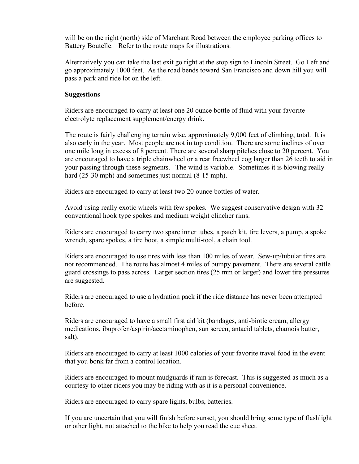will be on the right (north) side of Marchant Road between the employee parking offices to Battery Boutelle. Refer to the route maps for illustrations.

Alternatively you can take the last exit go right at the stop sign to Lincoln Street. Go Left and go approximately 1000 feet. As the road bends toward San Francisco and down hill you will pass a park and ride lot on the left.

#### **Suggestions**

Riders are encouraged to carry at least one 20 ounce bottle of fluid with your favorite electrolyte replacement supplement/energy drink.

The route is fairly challenging terrain wise, approximately 9,000 feet of climbing, total. It is also early in the year. Most people are not in top condition. There are some inclines of over one mile long in excess of 8 percent. There are several sharp pitches close to 20 percent. You are encouraged to have a triple chainwheel or a rear freewheel cog larger than 26 teeth to aid in your passing through these segments. The wind is variable. Sometimes it is blowing really hard (25-30 mph) and sometimes just normal (8-15 mph).

Riders are encouraged to carry at least two 20 ounce bottles of water.

Avoid using really exotic wheels with few spokes. We suggest conservative design with 32 conventional hook type spokes and medium weight clincher rims.

Riders are encouraged to carry two spare inner tubes, a patch kit, tire levers, a pump, a spoke wrench, spare spokes, a tire boot, a simple multi-tool, a chain tool.

Riders are encouraged to use tires with less than 100 miles of wear. Sew-up/tubular tires are not recommended. The route has almost 4 miles of bumpy pavement. There are several cattle guard crossings to pass across. Larger section tires (25 mm or larger) and lower tire pressures are suggested.

Riders are encouraged to use a hydration pack if the ride distance has never been attempted before.

Riders are encouraged to have a small first aid kit (bandages, anti-biotic cream, allergy medications, ibuprofen/aspirin/acetaminophen, sun screen, antacid tablets, chamois butter, salt).

Riders are encouraged to carry at least 1000 calories of your favorite travel food in the event that you bonk far from a control location.

Riders are encouraged to mount mudguards if rain is forecast. This is suggested as much as a courtesy to other riders you may be riding with as it is a personal convenience.

Riders are encouraged to carry spare lights, bulbs, batteries.

If you are uncertain that you will finish before sunset, you should bring some type of flashlight or other light, not attached to the bike to help you read the cue sheet.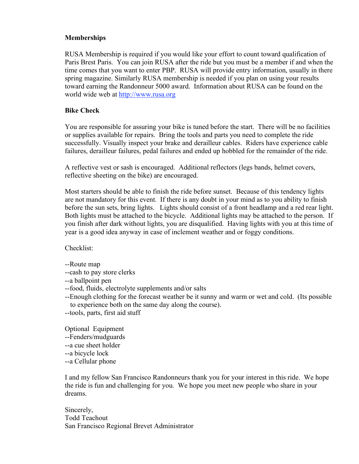## **Memberships**

RUSA Membership is required if you would like your effort to count toward qualification of Paris Brest Paris. You can join RUSA after the ride but you must be a member if and when the time comes that you want to enter PBP. RUSA will provide entry information, usually in there spring magazine. Similarly RUSA membership is needed if you plan on using your results toward earning the Randonneur 5000 award. Information about RUSA can be found on the world wide web at http://www.rusa.org

# **Bike Check**

You are responsible for assuring your bike is tuned before the start. There will be no facilities or supplies available for repairs. Bring the tools and parts you need to complete the ride successfully. Visually inspect your brake and derailleur cables. Riders have experience cable failures, derailleur failures, pedal failures and ended up hobbled for the remainder of the ride.

A reflective vest or sash is encouraged. Additional reflectors (legs bands, helmet covers, reflective sheeting on the bike) are encouraged.

Most starters should be able to finish the ride before sunset. Because of this tendency lights are not mandatory for this event. If there is any doubt in your mind as to you ability to finish before the sun sets, bring lights. Lights should consist of a front headlamp and a red rear light. Both lights must be attached to the bicycle. Additional lights may be attached to the person. If you finish after dark without lights, you are disqualified. Having lights with you at this time of year is a good idea anyway in case of inclement weather and or foggy conditions.

Checklist:

- --Route map
- --cash to pay store clerks
- --a ballpoint pen
- --food, fluids, electrolyte supplements and/or salts
- --Enough clothing for the forecast weather be it sunny and warm or wet and cold. (Its possible to experience both on the same day along the course).
- --tools, parts, first aid stuff

Optional Equipment

- --Fenders/mudguards
- --a cue sheet holder
- --a bicycle lock
- --a Cellular phone

I and my fellow San Francisco Randonneurs thank you for your interest in this ride. We hope the ride is fun and challenging for you. We hope you meet new people who share in your dreams.

Sincerely, Todd Teachout San Francisco Regional Brevet Administrator